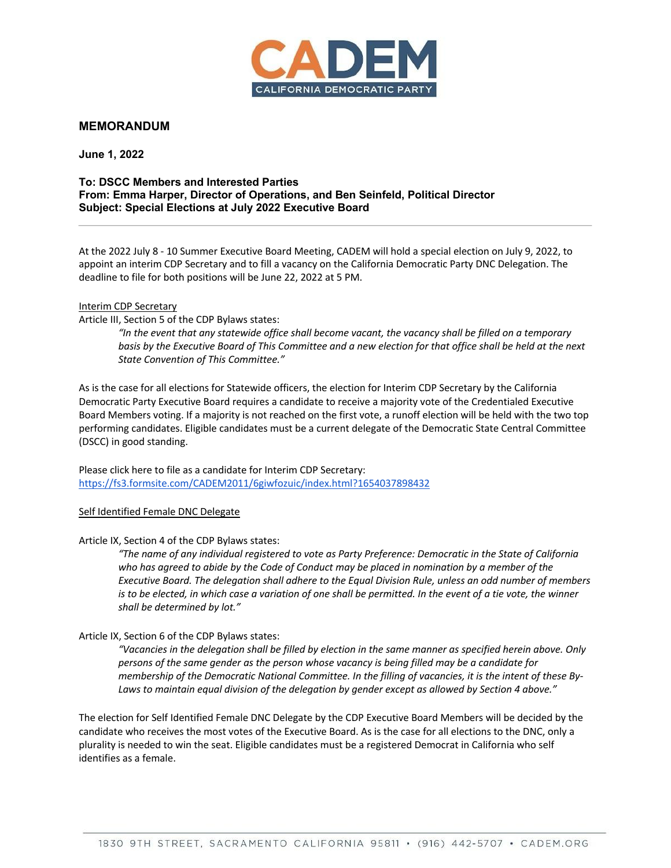

# **MEMORANDUM**

**June 1, 2022**

### **To: DSCC Members and Interested Parties From: Emma Harper, Director of Operations, and Ben Seinfeld, Political Director Subject: Special Elections at July 2022 Executive Board**

At the 2022 July 8 - 10 Summer Executive Board Meeting, CADEM will hold a special election on July 9, 2022, to appoint an interim CDP Secretary and to fill a vacancy on the California Democratic Party DNC Delegation. The deadline to file for both positions will be June 22, 2022 at 5 PM.

#### Interim CDP Secretary

Article III, Section 5 of the CDP Bylaws states:

*"In the event that any statewide office shall become vacant, the vacancy shall be filled on a temporary basis by the Executive Board of This Committee and a new election for that office shall be held at the next State Convention of This Committee."*

As is the case for all elections for Statewide officers, the election for Interim CDP Secretary by the California Democratic Party Executive Board requires a candidate to receive a majority vote of the Credentialed Executive Board Members voting. If a majority is not reached on the first vote, a runoff election will be held with the two top performing candidates. Eligible candidates must be a current delegate of the Democratic State Central Committee (DSCC) in good standing.

Please click here to file as a candidate for Interim CDP Secretary: https://fs3.formsite.com/CADEM2011/6giwfozuic/index.html?1654037898432

#### Self Identified Female DNC Delegate

Article IX, Section 4 of the CDP Bylaws states:

*"The name of any individual registered to vote as Party Preference: Democratic in the State of California who has agreed to abide by the Code of Conduct may be placed in nomination by a member of the Executive Board. The delegation shall adhere to the Equal Division Rule, unless an odd number of members is to be elected, in which case a variation of one shall be permitted. In the event of a tie vote, the winner shall be determined by lot."*

## Article IX, Section 6 of the CDP Bylaws states:

*"Vacancies in the delegation shall be filled by election in the same manner as specified herein above. Only persons of the same gender as the person whose vacancy is being filled may be a candidate for membership of the Democratic National Committee. In the filling of vacancies, it is the intent of these By-Laws to maintain equal division of the delegation by gender except as allowed by Section 4 above."*

The election for Self Identified Female DNC Delegate by the CDP Executive Board Members will be decided by the candidate who receives the most votes of the Executive Board. As is the case for all elections to the DNC, only a plurality is needed to win the seat. Eligible candidates must be a registered Democrat in California who self identifies as a female.